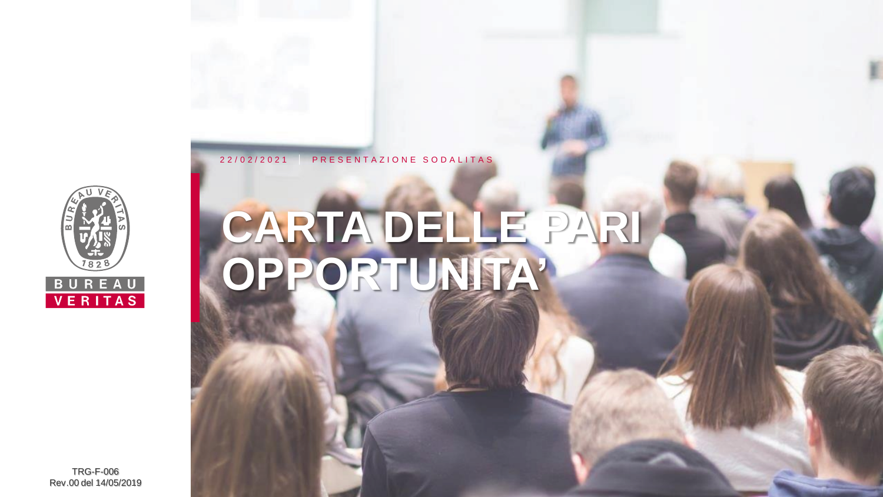

# **CARTA DELLE PARI OPPORTUNITA'**

2 2 / 0 2 / 2 0 2 1 PRESENTAZIONE SODALITAS

TRG-F-006 Rev.00 del 14/05/2019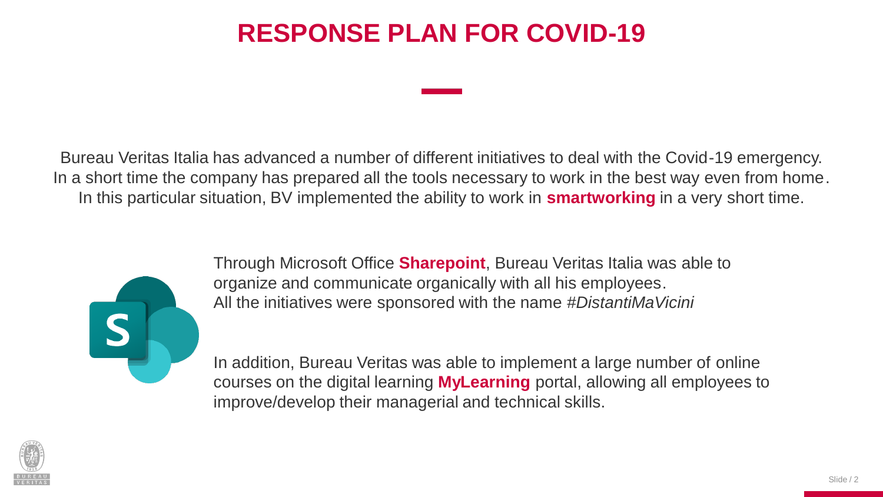Bureau Veritas Italia has advanced a number of different initiatives to deal with the Covid-19 emergency. In a short time the company has prepared all the tools necessary to work in the best way even from home. In this particular situation, BV implemented the ability to work in **smartworking** in a very short time.



Through Microsoft Office **Sharepoint**, Bureau Veritas Italia was able to organize and communicate organically with all his employees. All the initiatives were sponsored with the name *#DistantiMaVicini*

In addition, Bureau Veritas was able to implement a large number of online courses on the digital learning **MyLearning** portal, allowing all employees to improve/develop their managerial and technical skills.

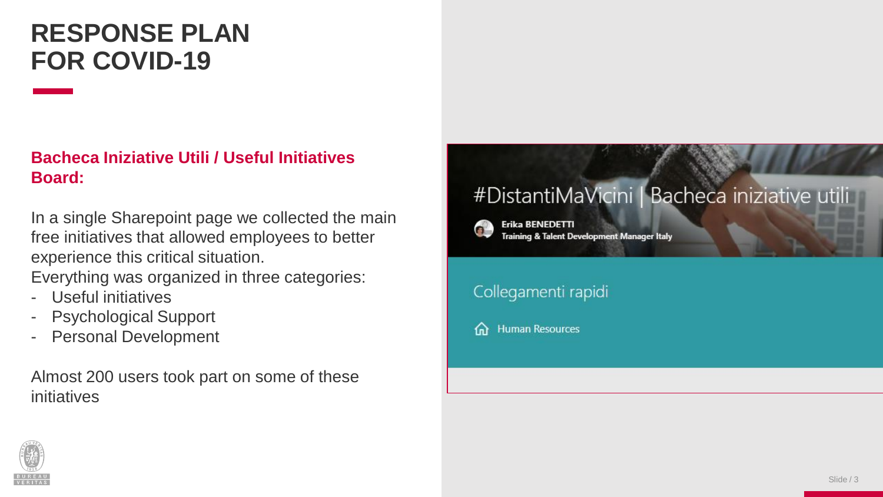### **Bacheca Iniziative Utili / Useful Initiatives Board:**

In a single Sharepoint page we collected the main free initiatives that allowed employees to better experience this critical situation.

Everything was organized in three categories:

- Useful initiatives
- Psychological Support
- Personal Development

Almost 200 users took part on some of these initiatives

### #DistantiMaVicini | Bacheca iniziative uti



**Erika BENEDETTI Training & Talent Development Manager Italy** 

### Collegamenti rapidi

**Human Resources** 夼

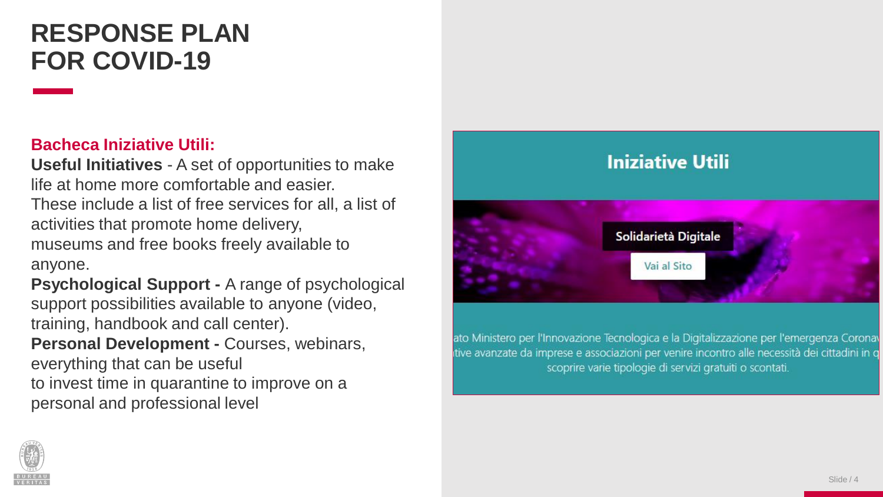#### **Bacheca Iniziative Utili :**

**Useful Initiatives** - A set of opportunities to make life at home more comfortable and easier. These include a list of free services for all, a list of activities that promote home delivery, museums and free books freely available to anyone.

**Psychological Support - A range of psychological** support possibilities available to anyone (video, training, handbook and call center). **Personal Development -** Courses, webinars, everything that can be useful to invest time in quarantine to improve on a personal and professional level



ato Ministero per l'Innovazione Tecnologica e la Digitalizzazione per l'emergenza Coronav tive avanzate da imprese e associazioni per venire incontro alle necessità dei cittadini in q scoprire varie tipologie di servizi gratuiti o scontati.

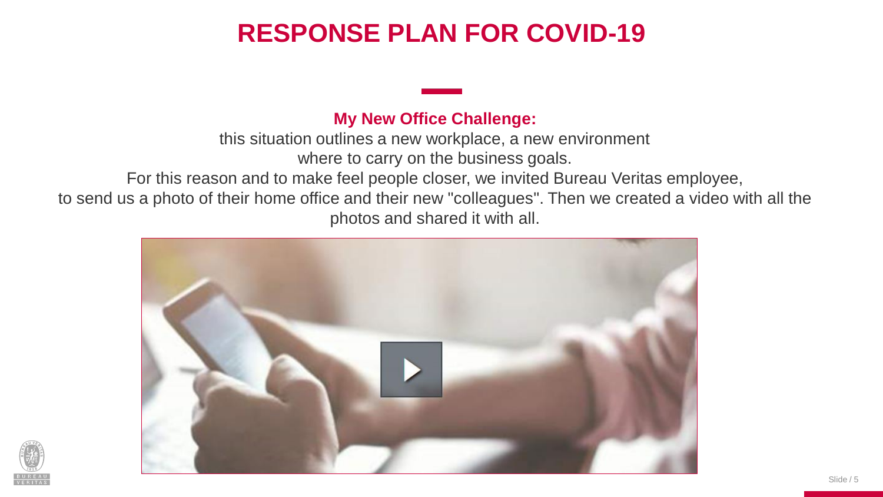#### **My New Office Challenge:**

this situation outlines a new workplace, a new environment

where to carry on the business goals.

For this reason and to make feel people closer, we invited Bureau Veritas employee,

to send us a photo of their home office and their new "colleagues". Then we created a video with all the photos and shared it with all.



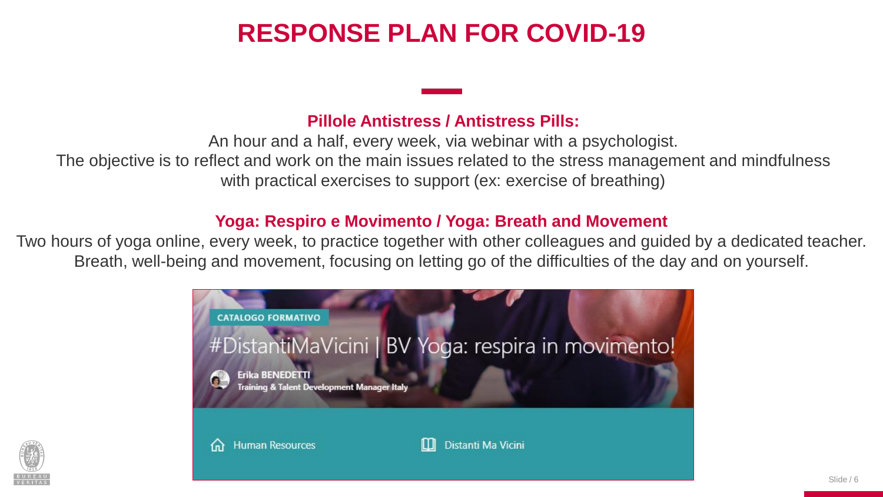#### **Pillole Antistress / Antistress Pills:**

An hour and a half, every week, via webinar with a psychologist. The objective is to reflect and work on the main issues related to the stress management and mindfulness with practical exercises to support (ex: exercise of breathing)

#### **Yoga: Respiro e Movimento / Yoga: Breath and Movement**

Two hours of yoga online, every week, to practice together with other colleagues and guided by a dedicated teacher. Breath, well-being and movement, focusing on letting go of the difficulties of the day and on yourself.



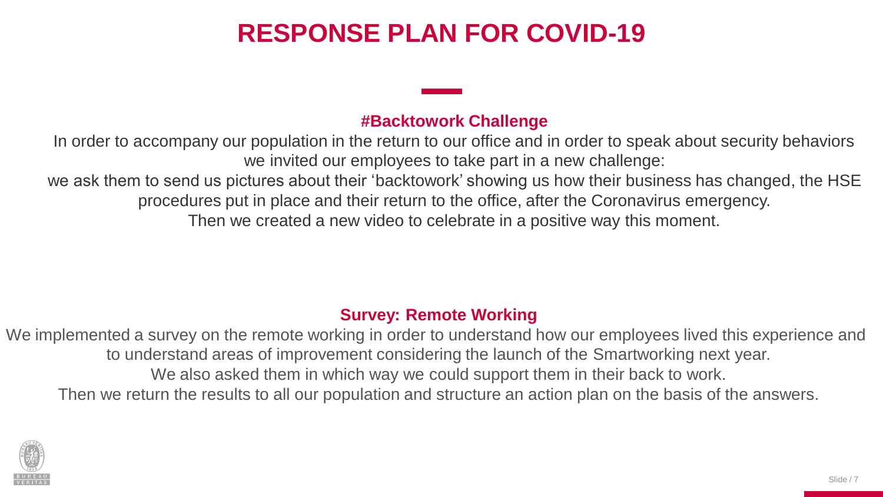#### **#Backtowork Challenge**

In order to accompany our population in the return to our office and in order to speak about security behaviors we invited our employees to take part in a new challenge:

we ask them to send us pictures about their 'backtowork' showing us how their business has changed, the HSE procedures put in place and their return to the office, after the Coronavirus emergency.

Then we created a new video to celebrate in a positive way this moment.

#### **Survey: Remote Working**

We implemented a survey on the remote working in order to understand how our employees lived this experience and to understand areas of improvement considering the launch of the Smartworking next year. We also asked them in which way we could support them in their back to work. Then we return the results to all our population and structure an action plan on the basis of the answers.

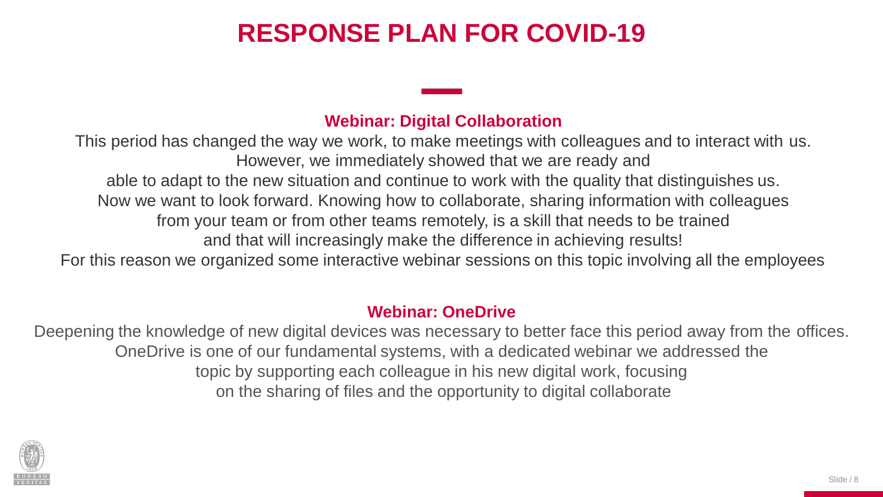#### **Webinar: Digital Collaboration**

This period has changed the way we work, to make meetings with colleagues and to interact with us. However, we immediately showed that we are ready and able to adapt to the new situation and continue to work with the quality that distinguishes us. Now we want to look forward. Knowing how to collaborate, sharing information with colleagues from your team or from other teams remotely, is a skill that needs to be trained and that will increasingly make the difference in achieving results! For this reason we organized some interactive webinar sessions on this topic involving all the employees

#### **Webinar: OneDrive**

Deepening the knowledge of new digital devices was necessary to better face this period away from the offices. OneDrive is one of our fundamental systems, with a dedicated webinar we addressed the topic by supporting each colleague in his new digital work, focusing on the sharing of files and the opportunity to digital collaborate